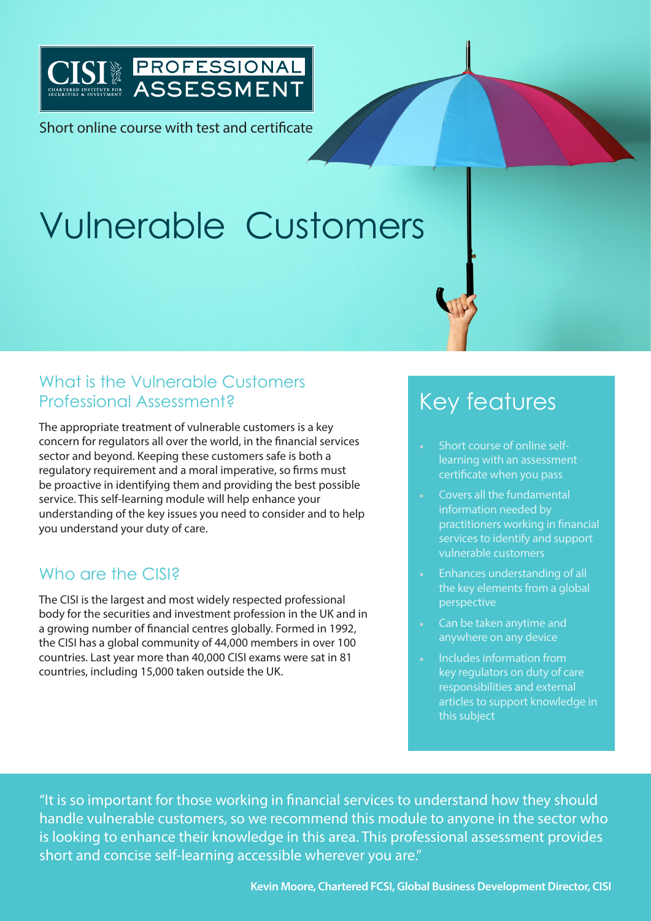

Short online course with test and certificate

# Vulnerable Customers

## What is the Vulnerable Customers Professional Assessment?

The appropriate treatment of vulnerable customers is a key concern for regulators all over the world, in the financial services sector and beyond. Keeping these customers safe is both a regulatory requirement and a moral imperative, so firms must be proactive in identifying them and providing the best possible service. This self-learning module will help enhance your understanding of the key issues you need to consider and to help you understand your duty of care.

### Who are the CISI?

The CISI is the largest and most widely respected professional body for the securities and investment profession in the UK and in a growing number of financial centres globally. Formed in 1992, the CISI has a global community of 44,000 members in over 100 countries. Last year more than 40,000 CISI exams were sat in 81 countries, including 15,000 taken outside the UK.

# Key features

- Short course of online selflearning with an assessment certificate when you pass
- Covers all the fundamental information needed by practitioners working in financial services to identify and support vulnerable customers
- Enhances understanding of all the key elements from a global perspective
- Can be taken anytime and anywhere on any device
- Includes information from key regulators on duty of care responsibilities and external articles to support knowledge in this subject

"It is so important for those working in financial services to understand how they should handle vulnerable customers, so we recommend this module to anyone in the sector who is looking to enhance their knowledge in this area. This professional assessment provides short and concise self-learning accessible wherever you are."